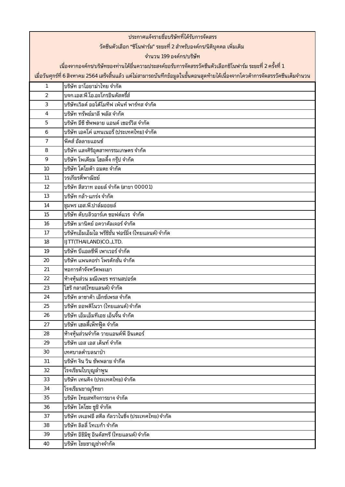|                                                                                                                                  | ประกาศแจ้งรายชื่อบริษัทที่ได้รับการจัดสรร                                                                 |  |  |
|----------------------------------------------------------------------------------------------------------------------------------|-----------------------------------------------------------------------------------------------------------|--|--|
| ้วัคชีนตัวเลือก "ซิโนฟาร์ม" ระยะที่ 2 สำหรับองค์กร/นิติบุคคล เพิ่มเติม                                                           |                                                                                                           |  |  |
| จำนวน 199 องค์กร/บริษัท                                                                                                          |                                                                                                           |  |  |
|                                                                                                                                  | เนื่องจากองค์กร/บริษัทของท่านได้ยื่นความประสงค์ขอรับการจัดสรรวัคซีนตัวเลือกซิโนฟาร์ม ระยะที่ 2 ครั้งที่ 1 |  |  |
| เมื่อวันศุกร์ที่ 6 สิงหาคม 2564 เสร็จสิ้นแล้ว แต่ไม่สามารถบันทึกข้อมูลในขั้นตอนสุดท้ายได้เนื่องจากโควต้าการจัดสรรวัคซีนเต็มจำนวน |                                                                                                           |  |  |
| $\mathbf{1}$                                                                                                                     | ้บริษัท อาโอยาม่าไทย จำกัด                                                                                |  |  |
| $\overline{2}$                                                                                                                   | บจก.เอส.พี.โอ.อะโกรอินดัสตรี้ส์                                                                           |  |  |
| 3                                                                                                                                | บริษัทเวิลด์ ออโต้โมทีฟ เพ้นท์ พาร์ทส จำกัด                                                               |  |  |
| $\overline{4}$                                                                                                                   | บริษัท ทรัพย์มาลี พลัส จำกัด                                                                              |  |  |
| 5                                                                                                                                | บริษัท อีซี ซัพพลาย แอนด์ เซอร์วิส จำกัด                                                                  |  |  |
| 6                                                                                                                                | บริษัท เอคโค่ แทนเนอรี่ (ประเทศไทย) จำกัด                                                                 |  |  |
| $\overline{7}$                                                                                                                   | พีคส์ อัลลายแอนซ์                                                                                         |  |  |
| 8                                                                                                                                | บริษัท แสงศิริอุตสาหกรรมเกษตร จำกัด                                                                       |  |  |
| 9                                                                                                                                | บริษัท โพเดียม โฮลดิ้ง กรุ๊ป จำกัด                                                                        |  |  |
| 10                                                                                                                               | บริษัท โตโยต้า อมตะ จำกัด                                                                                 |  |  |
| 11                                                                                                                               | วรเกียรติ์พาณิชย์                                                                                         |  |  |
| 12                                                                                                                               | บริษัท สีสวาท ออยล์ จำกัด (สาขา 00001)                                                                    |  |  |
| 13                                                                                                                               | บริษัท กล้า-แกร่ง จำกัด                                                                                   |  |  |
| 14                                                                                                                               | ชุมพร เอส.พี.ปาล์มออยล์                                                                                   |  |  |
| 15                                                                                                                               | บริษัท ดับบลิวอาร์เค ซอฟต์แวร  จำกัด                                                                      |  |  |
| 16                                                                                                                               | บริษัท มานิตย์ อควาคัลเจอร์ จำกัด                                                                         |  |  |
| 17                                                                                                                               | บริษัทเอ็มเอ็มไอ พรีซิชั่น ฟอร์มิ่ง (ไทยแลนด์) จำกัด                                                      |  |  |
| 18                                                                                                                               | IJTT(THAILAND)CO.,LTD.                                                                                    |  |  |
| 19                                                                                                                               | ้บริษัท บีแอลซีพี เพาเวอร์ จำกัด                                                                          |  |  |
| 20                                                                                                                               | บริษัท แพนดอร่า โพรดักชั่น จำกัด                                                                          |  |  |
| 21                                                                                                                               | หอการค้าจังหวัดพะเยา                                                                                      |  |  |
| 22                                                                                                                               | ห้างหุ้นส่วน มณีเพชร ทรานสปอร์ต                                                                           |  |  |
| 23                                                                                                                               | โฮริ กลาส(ไทยแลนด์) จำกัด                                                                                 |  |  |
| 24                                                                                                                               | บริษัท ลาซาด้า เอ็กซ์เพรส จำกัด                                                                           |  |  |
| 25                                                                                                                               | บริษัท ออพติโนวา (ไทยแลนด์) จำกัด                                                                         |  |  |
| 26                                                                                                                               | บริษัท เอ็มเอ็มทีเอช เอ็นจิ้น จำกัด                                                                       |  |  |
| 27                                                                                                                               | บริษัท เฮลตี้เพ็ทฟู๊ด จำกัด                                                                               |  |  |
| 28                                                                                                                               | ห้างหุ้นส่วนจำกัด วายแอนด์พี อินเตอร์                                                                     |  |  |
| 29                                                                                                                               | บริษัท เอส เอส เด็นท์ จำกัด                                                                               |  |  |
| 30                                                                                                                               | <u>เทศบาลตำบลนาป่า</u>                                                                                    |  |  |
| 31                                                                                                                               | บริษัท งิน วิน ซัพพลาย จำกีด                                                                              |  |  |
| 32                                                                                                                               | โรงเรียนใบบุญลำพูน                                                                                        |  |  |
| 33                                                                                                                               | บริษัท เทนคิง (ประเทศไทย) จำกัด                                                                           |  |  |
| 34                                                                                                                               | โรงเรียนขาณุวิทยา<br>บริษัท ไทยสหกิจการยาง จำกัด                                                          |  |  |
| 35                                                                                                                               |                                                                                                           |  |  |
| 36                                                                                                                               | บริษัท ไดโซะ ซูชิ จำกัด<br>บริษัท เจเอฟอี สตีล กัลวาไนซิ่ง (ประเทศไทย) จำกัด                              |  |  |
| 37                                                                                                                               | ้บริษัท ลิลลี่ โทเบก้า จำกัด                                                                              |  |  |
| 38                                                                                                                               |                                                                                                           |  |  |
| 39                                                                                                                               | บริษัท อิชิมิซุ อินดัสทรี (ไทยแลนด์) จำกัด                                                                |  |  |
| 40                                                                                                                               | บริษัท ไชยชาญช่างจำกัด                                                                                    |  |  |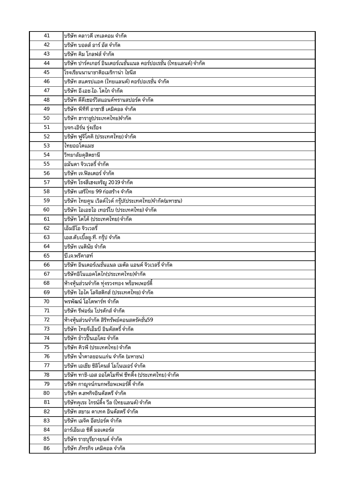| 41 | ุบริษัท คลาวดี เทเลคอม จำกัด                                       |
|----|--------------------------------------------------------------------|
| 42 | บริษัท บอลส์ อาร์ อัส จำกัด                                        |
| 43 | ้บริษัท คิม โกลฟส์ จำกัด                                           |
| 44 | ้บริษัท ปาร์คเกอร์ อินเตอร์เนชั่นแนล คอร์ปอเรชั่น (ไทยแลนด์) จำกัด |
| 45 | โรงเรียนนานาชาติอเมริกาน่า ไชนีส                                   |
| 46 | ีบริษัท สแตรปแอค (ไทยแลนด์) คอร์ปอเรชั่น จำกัด                     |
| 47 | ้บริษัท อี.เอช.ไอ. โตไก จำกัด                                      |
| 48 | ุบริษัท ดีดีเซอร์วิสแอนด์ทรานสปอร์ต จำกัด                          |
| 49 | ้บริษัท พีทีที อาซาฮี เคมิคอล จำกัด                                |
| 50 | บริษัท ฮาราชู(ประเทศไทย)จำกัด                                      |
| 51 | บจก เอิร์น รุ่งเรือง                                               |
| 52 | บริษัท ฟูจิโคคิ (ประเทศไทย) จำกัด                                  |
| 53 | ไทยออโตแมช                                                         |
| 54 | วิทยาลัยดุสิตธานี                                                  |
| 55 | ้อมันดา จิวเวลรี่ จำกัด                                            |
| 56 | ้บริษัท เจ.ฟิลเตอร์ จำกัด                                          |
| 57 | บริษัท โรงสีเฮงเจริญ 2019 จำกัด                                    |
| 58 | ้บริษัท เสรีไทย 99 ก่อสร้าง จำกัด                                  |
| 59 | บริษัท ไทยคูน เวิลด์ไวด์ กรุ๊ป(ประเทศไทย)จำกัด(มหาชน)              |
| 60 | บริษัท ไอเอชไอ เทอร์โบ (ประเทศไทย) จำกัด                           |
| 61 | ้บริษัท โตโต้ (ประเทศไทย) จำกัด                                    |
| 62 | ้เอ็มอีโอ จิวเวลรี่                                                |
| 63 | เอส.ดับเบิ้ลยู.ที. กรุ๊ป จำกัด                                     |
| 64 | ้บริษัท เนตินัย จำกัด                                              |
| 65 | ปี เจ.พรีคาสท์                                                     |
| 66 | ้บริษัท อินเตอร์เนชั่นแนล เมตัล แอนด์ จิวเวลรี่ จำกัด              |
| 67 | ้บริษัทอิโนแอคโตไก(ประเทศไทย)จำกัด                                 |
| 68 | ้ห้างหุ้นส่วนจำกัด ทุ่งรวงทอง พร็อพเพอร์ตี้                        |
| 69 | บริษัท ไอไค โลจิสติกส์ (ประเทศไทย) จำกัด                           |
| 70 | พรพัฒน์ โอโตพาร์ท จำกัด                                            |
| 71 | บริษัท รีฟอร์ม โปรดักส์ จำกัด                                      |
| 72 | ้ห้างหุ้นส่วนจำกัด สิริทรัพย์คอนสตรัคชั่น59                        |
| 73 | ้บริษัท ไทยจีเอ็มบี อินดัสตรี่ จำกัด                               |
| 74 | ้บริษัท ข้าวปั้นเอโดะ จำกัด                                        |
| 75 | ้บริษัท คิวพี (ประเทศไทย) จำกัด                                    |
| 76 | ุบริษัท น้ำตาลขอนแก่น จำกัด (มหาชน)                                |
| 77 | ้บริษัท เอเชีย ซิลิโคนส์ โมโนเมอร์ จำกัด                           |
| 78 | ้บริษัท ทาชิ-เอส ออโตโมทีฟ ซีทติ้ง (ประเทศไทย) จำกัด               |
| 79 | ้บริษัท กาญจน์กนกพร็อพเพอร์ตี้ จำกัด                               |
| 80 | ้บริษัท ต.สหกิจอินดัสตรี จำกัด                                     |
| 81 | ้บริษัทคุเระ ไกรน์ดิ้ง วีล (ไทยแลนด์) จำกัด                        |
| 82 | บริษัท สยาม ดาเทค อินดัสตรี จำกัด                                  |
| 83 | ้บริษัท เมจิค อีสปอร์ต จำกัด                                       |
| 84 | อาร์เอ็มเอ ซิตี้ มอเตอร์ส                                          |
| 85 | บริษัท ราชบุรียางยนต์ จำกัด                                        |
| 86 | ้บริษัท ภัทรกิจ เคมิคอล จำกัด                                      |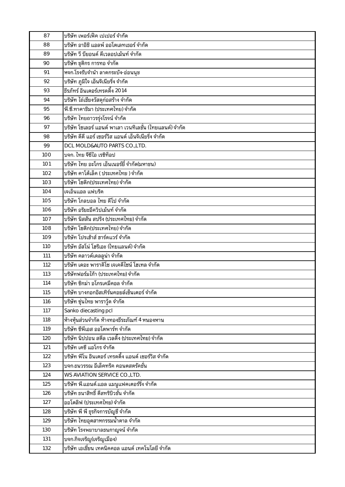| 87  | บริษัท เพอร์เฟ็ค เปเปอร์ จำกัด                                                     |
|-----|------------------------------------------------------------------------------------|
| 88  | บริษัท อาอิชิ แอลพ์ ออโตเลทเธอร์ จำกัด                                             |
| 89  | บริษัท วี บียอนด์ ดีเวลอปเม้นท์ จำกัด                                              |
| 90  | บริษัท ชุติกร การทอ จำกัด                                                          |
| 91  | หจก.โรงรับจำนำ ลาดกระบัง-อ่อนนุช                                                   |
| 92  | บริษัท ภูมิใจ เอ็นจิเนียริ่ง จำกัด                                                 |
| 93  | ธีรภัทร์ อินเตอร์เทรดดิ้ง 2014                                                     |
| 94  | บริษัท ไถ่เชียงวัสดุก่อสร้าง จำกัด                                                 |
| 95  | พี.ซี.ทาคาชิมา (ประเทศไทย) จำกัด                                                   |
| 96  | บริษัท ไทยถาวรรุ่งโรจน์ จำกัด                                                      |
| 97  | บริษัท โซเลอร์ แอนด์ พาเลา เวนทิเลชั่น (ไทยแลนด์) จำกัด                            |
| 98  | บริษัท ดีดี แอร์ เซอร์วิส แอนด์ เอ็นจิเนียริ่ง จำกัด                               |
| 99  | DCL MOLD&AUTO PARTS CO., LTD.                                                      |
| 100 | บจก. ไทย จีซีไอ เรซิท็อป                                                           |
| 101 | บริษัท ไทย อะโกร เอ็นเนอร์ยี่ จำกัด(มหาชน)                                         |
| 102 | บริษัท คาโต้เล็ค ( ประเทศไทย ) จำกัด                                               |
| 103 | บริษัท โซดิก(ประเทศไทย) จำกัด                                                      |
| 104 | เจเอ็นแอล แฟบริค                                                                   |
| 105 | <u>้บริษัท โกลบอล ไทย ดีโป จำกัด</u>                                               |
| 106 | บริษัท อริยะอีควิปเม้นท์ จำกัด                                                     |
| 107 | บริษัท นิสสัน สปริง (ประเทศไทย) จำกัด                                              |
| 108 | บริษัท โซดิก(ประเทศไทย) จำกัด                                                      |
| 109 | บริษัท โปรเฮ้าส์ ฮาร์ดแวร์ จำกัด                                                   |
| 110 | บริษัท อัสโน่ โฮริเอะ (ไทยแลนด์) จำกัด                                             |
| 111 | บริษัท คลาวด์เดลลูน่า จำกัด                                                        |
| 112 | บริษัท เดอะ พาราดิโซ เจเคดีไซน์ โฮเทล จำกัด                                        |
| 113 | บริษัทฟอร์มไก้า (ประเทศไทย) จำกัด                                                  |
| 114 | บริษัท ซิกม่า อโกรเคมีคอล จำกัด                                                    |
| 115 | บริษัท บางกอกอิสเทิร์นคอยล์เซ็นเตอร์ จำกัด                                         |
| 116 | บริษัท ซุ่นไทย พาราวู้ด จำกัด                                                      |
| 117 | Sanko diecasting pcl                                                               |
| 118 | ห้างหุ้นส่วนจำกัด ห้างทองธีระภัณฑ์ 4 หนองหาน                                       |
| 119 | บริษัท ซีพีเอส ออโตพาร์ท จำกัด                                                     |
| 120 | บริษัท นิปปอน สตีล เวลดิ้ง (ประเทศไทย) จำกัด                                       |
| 121 | บริษัท เคซี แอโกร จำกัด                                                            |
| 122 | บริษัท พีโน อินเตอร์ เทรดดิ้ง แอนด์ เซอร์วิส จำกัด                                 |
| 123 | <u>ีบจก.ธนวรรณ อีเล็คทริค คอนตสตรัคชั่น</u>                                        |
| 124 | WS AVIATION SERVICE CO., LTD.                                                      |
| 125 | บริษัท พี.แอนด์.แอล แมนูแฟคเตอร์ริ่ง จำกัด<br>บริษัท ธนาสิทธิ์ ดีสทริบิวชั่น จำกัด |
| 126 |                                                                                    |
| 127 | ออโตลิฟ (ประเทศไทย) จำกัด                                                          |
| 128 | บริษัท พี พี ธุรกิจการบัญชี จำกัด                                                  |
| 129 | บริษัท ไทยอุตสาหกรรมน้ำตาล จำกัด<br>บริษัท โรงพยาบาลธนกาญจน์ จำกัด                 |
| 130 |                                                                                    |
| 131 | บจก.กิจเจริญ(เจริญเมือง)                                                           |
| 132 | บริษัท เอเชี่ยน เทคนิคคอล แอนด์ เทคโนโลยี จำกัด                                    |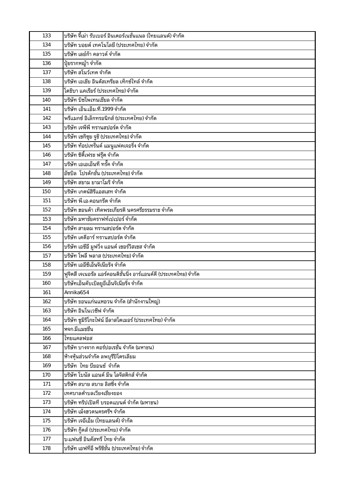| 133 | บริษัท จี้เม่า รับเบอร์ อินเตอร์เนชั่นแนล (ไทยแลนด์) จำกัด       |
|-----|------------------------------------------------------------------|
| 134 | บริษัท บอยด์ เทคโนโลยี (ประเทศไทย) จำกัด                         |
| 135 | บริษัท เลย์ก้า คลาวด์ จำกัด                                      |
| 136 | ปุ๋ยรากหญ้า จำกัด                                                |
| 137 | บริษัท สโนว์เทค จำกัด                                            |
| 138 | บริษัท เอเชีย อินดัสเทรียล เท็กซ์ไทล์ จำกัด                      |
| 139 | โตชิบา แคเรียร์ (ประเทศไทย) จำกัด                                |
| 140 | บริษัท บิซโพเทนเชียล จำกัด                                       |
| 141 | บริษัท เอ็น เอ็ม ที่ 1999 จำกัด                                  |
| 142 | พรีแมกซ์ อิเล็กทรอนิกส์ (ประเทศไทย) จำกัด                        |
| 143 | บริษัท เจพีพี ทรานสปอร์ต จำกัด                                   |
| 144 | บริษัท เซกิซุย จูชิ (ประเทศไทย) จำกัด                            |
| 145 | บริษัท ท้อปเทร็นด์ แมนูแฟคเจอริ่ง จำกัด                          |
| 146 | บริษัท ซิตี้เฟรช ฟรุ๊ต จำกัด                                     |
| 147 | บริษัท เอเอเอ็นที ทรั๊ค จำกัด                                    |
| 148 | อัซบิล  โปรดักชั่น (ประเทศไทย) จำกัด                             |
| 149 | บริษัท สยาม ยามาโมริ จำกัด                                       |
| 150 | บริษัท เกตน์สิรีแอสเสท จำกัด                                     |
| 151 | บริษัท พี.เอ.คอนกรีต จำกัด                                       |
| 152 | บริษัท ฮอนด้า เทิดพระเกียรติ นครศรีธรรมราช จำกัด                 |
| 153 | บริษัท มหาชัยคราฟท์เปเปอร์ จำกัด                                 |
| 154 | ีบริษัท สายลม ทรานสปอร์ต จำกัด                                   |
| 155 | บริษัท เคดีอาร์ ทรานสปอร์ต จำกัด                                 |
| 156 | ้บริษัท เอซีอี มูฟวิ่ง แอนด์ เซอร์วิสเซส จำกัด                   |
| 157 | บริษัท โพลี พลาส (ประเทศไทย) จำกัด                               |
| 158 | บริษัท เออีซีเอ็นจิเนียริง จำกัด                                 |
| 159 | ฟูจิตสึ เจเนอรัล แอร์คอนดิชั่นนิ่ง อาร์แอนด์ดี (ประเทศไทย) จำกัด |
| 160 | บริษัทเอ็นดับเบิลยูอีเอ็นจิเนียริ่ง จำกัด                        |
| 161 | Annika654                                                        |
| 162 | บริษัท ขอนแก่นแหอวน จำกัด (สำนักงานใหญ่)                         |
| 163 | บริษัท อินโนเวซีฟ จำกัด                                          |
| 164 | บริษัท ซูมิริโกะไฟน์ อีลาสโตเมอร์ (ประเทศไทย) จำกัด              |
| 165 | หจก.มีแมชชีน                                                     |
| 166 | ไทยแคลฟอส                                                        |
| 167 | บริษัท บางจาก คอร์ปอเรชั่น จำกัด (มหาชน)                         |
| 168 | ห้างหุ้นส่วนจำกัด ลพบุรีปิโตรเลียม                               |
| 169 | บริษัท ไทย บียอนซ์ จำกัด                                         |
| 170 | บริษัท โบนัส แอนด์ มีน โลจิสติกส์ จำกัด                          |
| 171 | บริษัท สบาย สบาย ลิสซิ <sup>่</sup> ง จำกัด                      |
| 172 | เทศบาลตำบลเวียงเชียงของ                                          |
| 173 | ุบริษัท ทริปเปิลที่ บรอดแบนด์ จำกัด (มหาชน)                      |
| 174 | บริษัท เม้งฮวดนครศรีฯ จำกัด                                      |
| 175 | บริษัท เจอีเอ็ม (ไทยแลนด์) จำกัด                                 |
| 176 | บริษัท กู๊ดส์ (ประเทศไทย) จำกัด                                  |
| 177 | บ แฟนซี อินดัสทรี ไทย จำกัด                                      |
| 178 | บริษัท เอฟทีอี พริซิชั่น (ประเทศไทย) จำกัด                       |